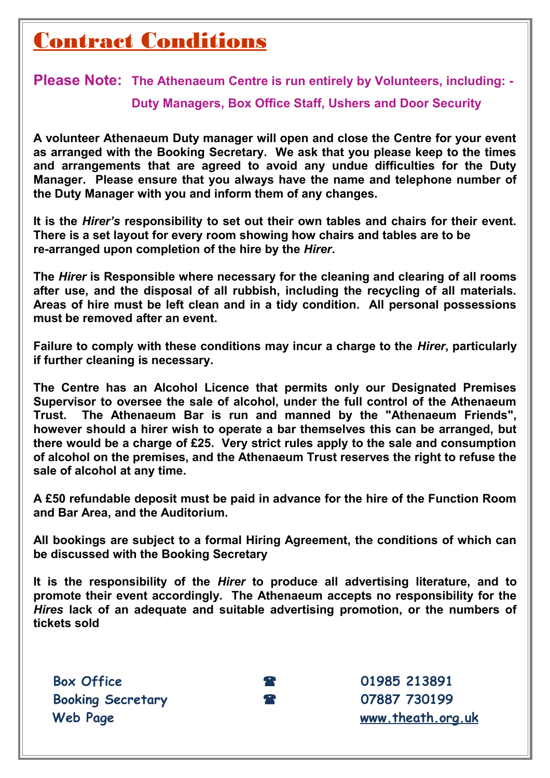### Contract Conditions

**Please Note: The Athenaeum Centre is run entirely by Volunteers, including: -** 

**Duty Managers, Box Office Staff, Ushers and Door Security**

**A volunteer Athenaeum Duty manager will open and close the Centre for your event as arranged with the Booking Secretary. We ask that you please keep to the times and arrangements that are agreed to avoid any undue difficulties for the Duty Manager. Please ensure that you always have the name and telephone number of the Duty Manager with you and inform them of any changes.**

**It is the** *Hirer's* **responsibility to set out their own tables and chairs for their event. There is a set layout for every room showing how chairs and tables are to be re-arranged upon completion of the hire by the** *Hirer***.**

**The** *Hirer* **is Responsible where necessary for the cleaning and clearing of all rooms after use, and the disposal of all rubbish, including the recycling of all materials. Areas of hire must be left clean and in a tidy condition. All personal possessions must be removed after an event.** 

**Failure to comply with these conditions may incur a charge to the** *Hirer***, particularly if further cleaning is necessary.**

**The Centre has an Alcohol Licence that permits only our Designated Premises Supervisor to oversee the sale of alcohol, under the full control of the Athenaeum Trust. The Athenaeum Bar is run and manned by the "Athenaeum Friends", however should a hirer wish to operate a bar themselves this can be arranged, but there would be a charge of £25. Very strict rules apply to the sale and consumption of alcohol on the premises, and the Athenaeum Trust reserves the right to refuse the sale of alcohol at any time.**

**A £50 refundable deposit must be paid in advance for the hire of the Function Room and Bar Area, and the Auditorium.**

**All bookings are subject to a formal Hiring Agreement, the conditions of which can be discussed with the Booking Secretary**

**It is the responsibility of the** *Hirer* **to produce all advertising literature, and to promote their event accordingly. The Athenaeum accepts no responsibility for the** *Hires* **lack of an adequate and suitable advertising promotion, or the numbers of tickets sold**

**Box Office 1985 213891 Booking Secretary 07887 730199**

**Web Page [www.theath.org.uk](file:///C:/Users/Keith/Desktop/www.theath.org.co.uk)**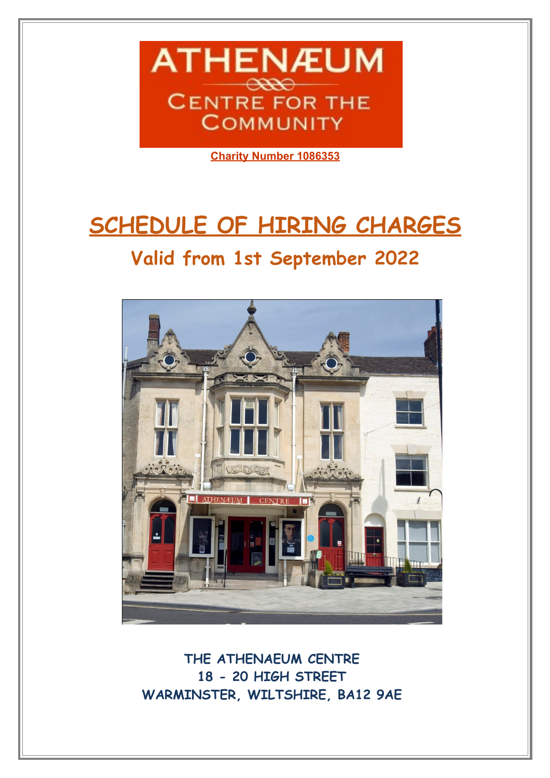

**Charity Number 1086353**

# **SCHEDULE OF HIRING CHARGES**

#### **Valid from 1st September 2022**



**THE ATHENAEUM CENTRE 18 - 20 HIGH STREET WARMINSTER, WILTSHIRE, BA12 9AE**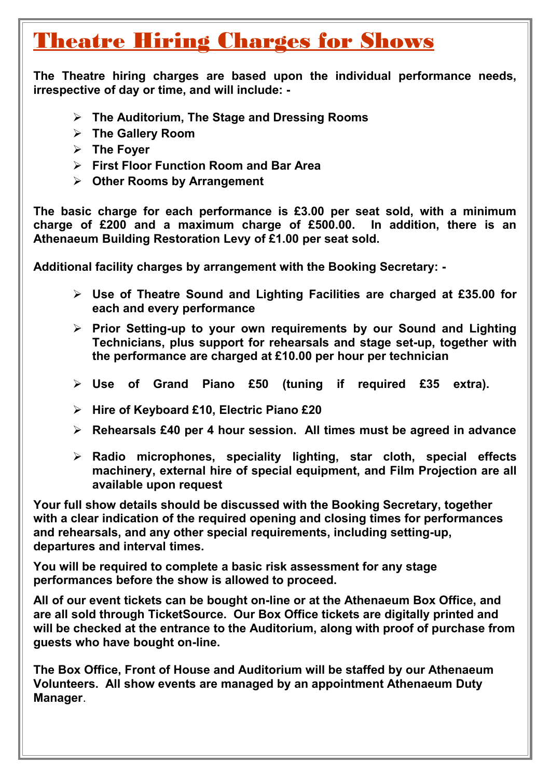#### Theatre Hiring Charges for Shows

**The Theatre hiring charges are based upon the individual performance needs, irrespective of day or time, and will include: -**

- **The Auditorium, The Stage and Dressing Rooms**
- **The Gallery Room**
- **The Foyer**
- **First Floor Function Room and Bar Area**
- **Other Rooms by Arrangement**

**The basic charge for each performance is £3.00 per seat sold, with a minimum charge of £200 and a maximum charge of £500.00. In addition, there is an Athenaeum Building Restoration Levy of £1.00 per seat sold.**

**Additional facility charges by arrangement with the Booking Secretary: -** 

- **Use of Theatre Sound and Lighting Facilities are charged at £35.00 for each and every performance**
- **Prior Setting-up to your own requirements by our Sound and Lighting Technicians, plus support for rehearsals and stage set-up, together with the performance are charged at £10.00 per hour per technician**
- **Use of Grand Piano £50 (tuning if required £35 extra).**
- **Hire of Keyboard £10, Electric Piano £20**
- **Rehearsals £40 per 4 hour session. All times must be agreed in advance**
- **Radio microphones, speciality lighting, star cloth, special effects machinery, external hire of special equipment, and Film Projection are all available upon request**

**Your full show details should be discussed with the Booking Secretary, together with a clear indication of the required opening and closing times for performances and rehearsals, and any other special requirements, including setting-up, departures and interval times.** 

**You will be required to complete a basic risk assessment for any stage performances before the show is allowed to proceed.**

**All of our event tickets can be bought on-line or at the Athenaeum Box Office, and are all sold through TicketSource. Our Box Office tickets are digitally printed and will be checked at the entrance to the Auditorium, along with proof of purchase from guests who have bought on-line.**

**The Box Office, Front of House and Auditorium will be staffed by our Athenaeum Volunteers. All show events are managed by an appointment Athenaeum Duty Manager**.